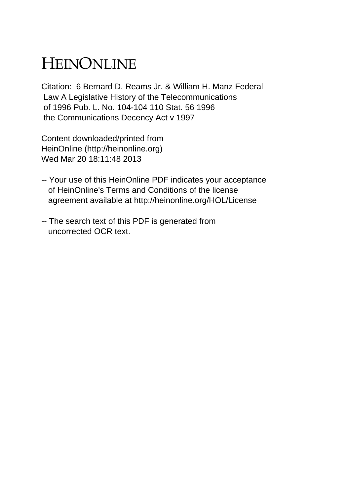## HEINONLINE

Citation: 6 Bernard D. Reams Jr. & William H. Manz Federal Law A Legislative History of the Telecommunications of 1996 Pub. L. No. 104-104 110 Stat. 56 1996 the Communications Decency Act v 1997

Content downloaded/printed from HeinOnline (http://heinonline.org) Wed Mar 20 18:11:48 2013

- -- Your use of this HeinOnline PDF indicates your acceptance of HeinOnline's Terms and Conditions of the license agreement available at http://heinonline.org/HOL/License
- -- The search text of this PDF is generated from uncorrected OCR text.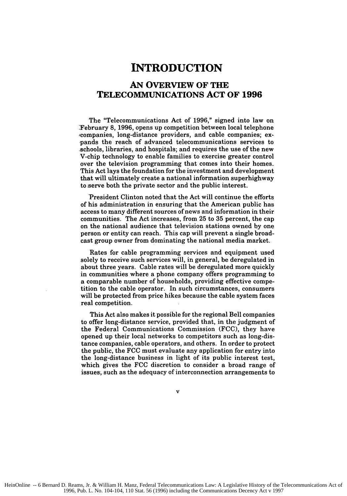## **INTRODUCTION**

## **AN OVERVIEW OF THE TELECOMMUNICATIONS ACT OF 1996**

The "Telecommunications Act of **1996,"** signed into law on 'February **8, 1996,** opens up competition between local telephone ,companies, long-distance providers, and cable companies; expands the reach of advanced telecommunications services to schools, libraries, and hospitals; and requires the use of the new V-chip technology to enable families to exercise greater control over the television programming that comes into their homes. This Act lays the foundation for the investment and development that will ultimately create a national information superhighway to serve both the private sector and the public interest.

President Clinton noted that the Act will continue the efforts of his administration in ensuring that the American public has access to many different sources of news and information in their communities. The Act increases, from **25** to **35** percent, the cap on the national audience that television stations owned **by** one person or entity can reach. This cap will prevent a single broadcast group owner from dominating the national media market.

Rates for cable programming services and equipment used solely to receive such services will, in general, be deregulated in about three years. Cable rates will be deregulated more quickly in communities where a phone company offers programming to a comparable number of households, providing effective competition to the cable operator. In such circumstances, consumers will be protected from price hikes because the cable system faces real competition.

This Act also makes it possible for the regional Bell companies to offer long-distance service, provided that, in the judgment of the Federal Communications Commission **(FCC),** they have opened up their local networks to competitors such as long-distance companies, cable operators, and others. In order to protect the public, the **FCC** must evaluate any application for entry into the long-distance business in light of its public interest test, which gives the **FCC** discretion to consider a broad range of issues, such as the adequacy of interconnection arrangements to

 $\mathbf{v}$